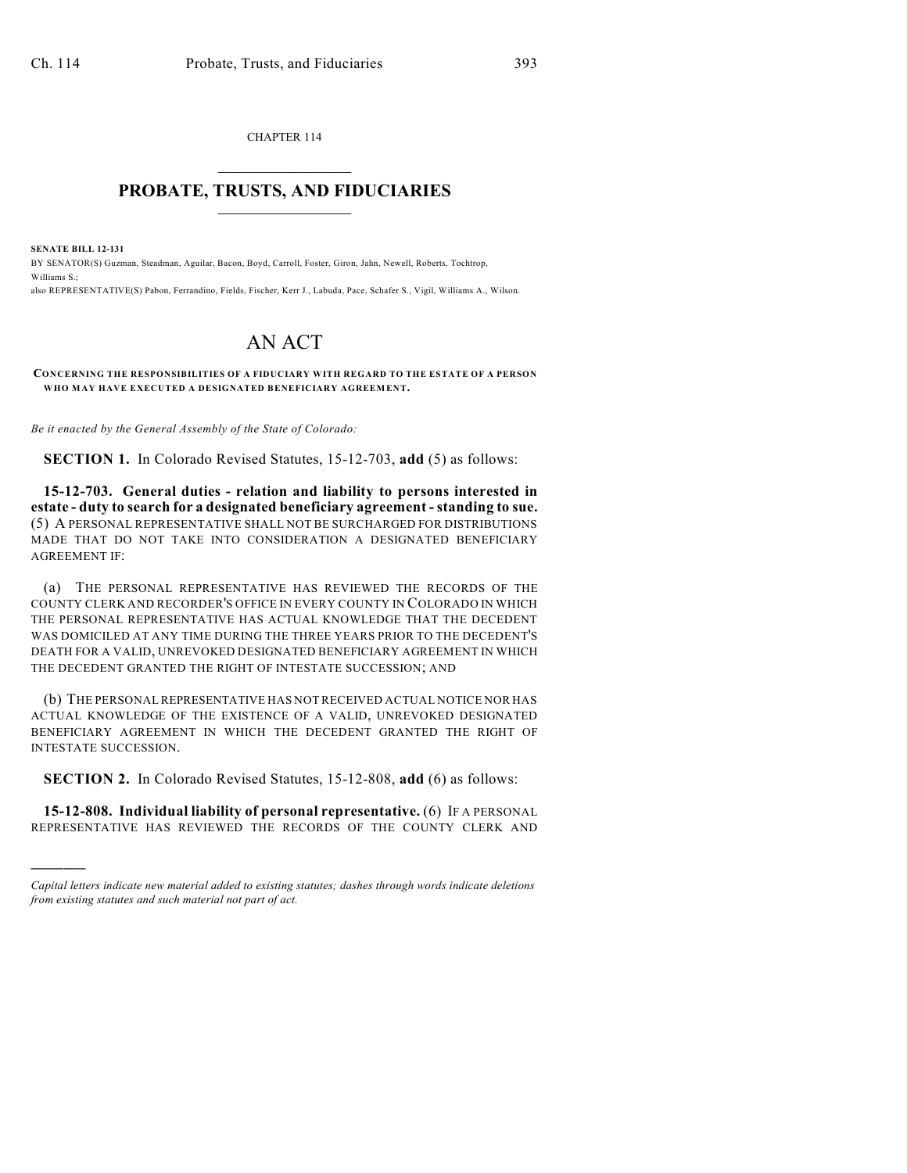CHAPTER 114  $\mathcal{L}_\text{max}$  . The set of the set of the set of the set of the set of the set of the set of the set of the set of the set of the set of the set of the set of the set of the set of the set of the set of the set of the set

## **PROBATE, TRUSTS, AND FIDUCIARIES**  $\overline{\phantom{a}}$

**SENATE BILL 12-131**

)))))

BY SENATOR(S) Guzman, Steadman, Aguilar, Bacon, Boyd, Carroll, Foster, Giron, Jahn, Newell, Roberts, Tochtrop, Williams S.;

also REPRESENTATIVE(S) Pabon, Ferrandino, Fields, Fischer, Kerr J., Labuda, Pace, Schafer S., Vigil, Williams A., Wilson.

## AN ACT

**CONCERNING THE RESPONSIBILITIES OF A FIDUCIARY WITH REGARD TO THE ESTATE OF A PERSON WHO MAY HAVE EXECUTED A DESIGNATED BENEFICIARY AGREEMENT.**

*Be it enacted by the General Assembly of the State of Colorado:*

**SECTION 1.** In Colorado Revised Statutes, 15-12-703, **add** (5) as follows:

**15-12-703. General duties - relation and liability to persons interested in estate - duty to search for a designated beneficiary agreement - standing to sue.** (5) A PERSONAL REPRESENTATIVE SHALL NOT BE SURCHARGED FOR DISTRIBUTIONS MADE THAT DO NOT TAKE INTO CONSIDERATION A DESIGNATED BENEFICIARY AGREEMENT IF:

(a) THE PERSONAL REPRESENTATIVE HAS REVIEWED THE RECORDS OF THE COUNTY CLERK AND RECORDER'S OFFICE IN EVERY COUNTY IN COLORADO IN WHICH THE PERSONAL REPRESENTATIVE HAS ACTUAL KNOWLEDGE THAT THE DECEDENT WAS DOMICILED AT ANY TIME DURING THE THREE YEARS PRIOR TO THE DECEDENT'S DEATH FOR A VALID, UNREVOKED DESIGNATED BENEFICIARY AGREEMENT IN WHICH THE DECEDENT GRANTED THE RIGHT OF INTESTATE SUCCESSION; AND

(b) THE PERSONALREPRESENTATIVE HAS NOTRECEIVED ACTUAL NOTICE NOR HAS ACTUAL KNOWLEDGE OF THE EXISTENCE OF A VALID, UNREVOKED DESIGNATED BENEFICIARY AGREEMENT IN WHICH THE DECEDENT GRANTED THE RIGHT OF INTESTATE SUCCESSION.

**SECTION 2.** In Colorado Revised Statutes, 15-12-808, **add** (6) as follows:

**15-12-808. Individual liability of personal representative.** (6) IF A PERSONAL REPRESENTATIVE HAS REVIEWED THE RECORDS OF THE COUNTY CLERK AND

*Capital letters indicate new material added to existing statutes; dashes through words indicate deletions from existing statutes and such material not part of act.*